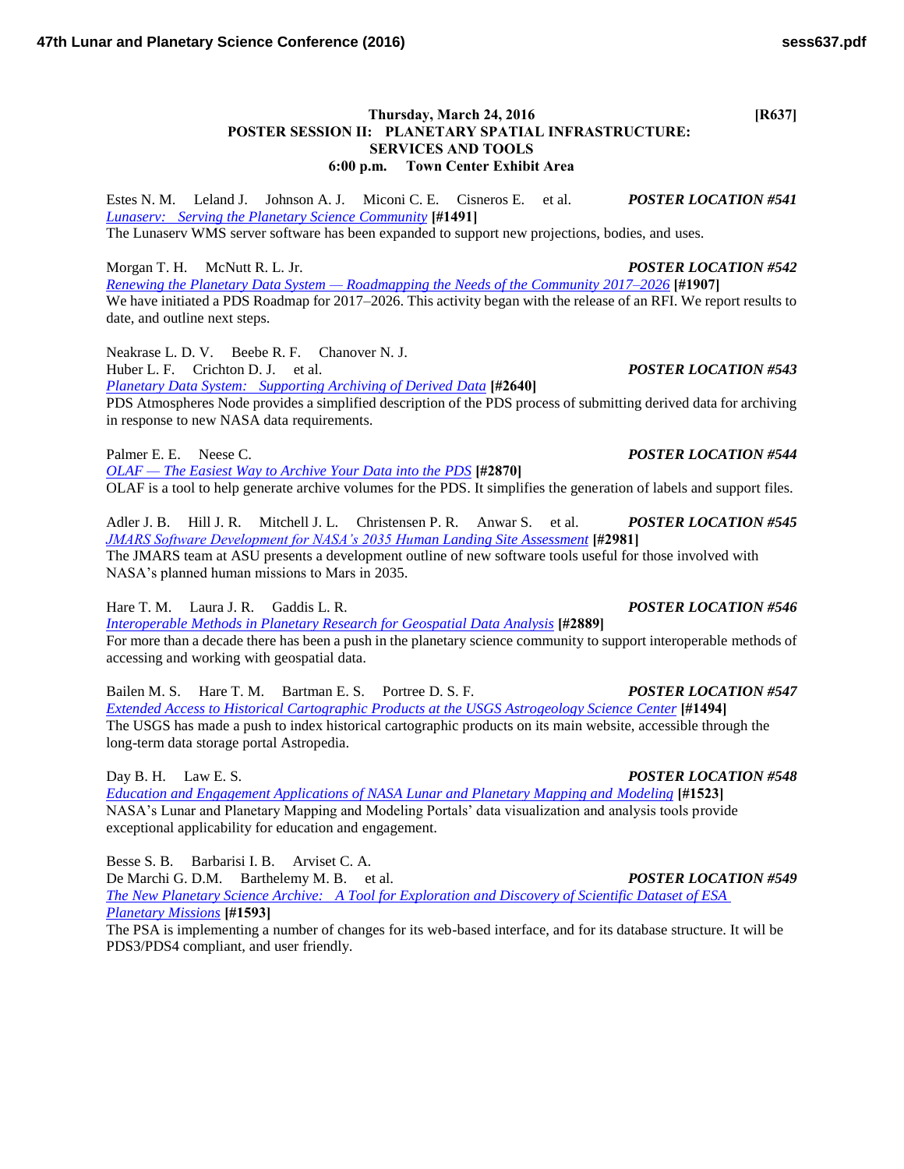## **Thursday, March 24, 2016 [R637] POSTER SESSION II: PLANETARY SPATIAL INFRASTRUCTURE: SERVICES AND TOOLS 6:00 p.m. Town Center Exhibit Area**

Estes N. M. Leland J. Johnson A. J. Miconi C. E. Cisneros E. et al. *POSTER LOCATION #541 [Lunaserv: Serving the Planetary Science Community](http://www.hou.usra.edu/meetings/lpsc2016/pdf/1491.pdf)* **[#1491]** The Lunaserv WMS server software has been expanded to support new projections, bodies, and uses.

Morgan T. H. McNutt R. L. Jr. *POSTER LOCATION #542 [Renewing the Planetary Data System — Roadmapping the Needs of the Community 2017–2026](http://www.hou.usra.edu/meetings/lpsc2016/pdf/1907.pdf)* **[#1907]** We have initiated a PDS Roadmap for 2017–2026. This activity began with the release of an RFI. We report results to date, and outline next steps.

Neakrase L. D. V. Beebe R. F. Chanover N. J. Huber L. F. Crichton D. J. et al. *POSTER LOCATION #543 [Planetary Data System: Supporting Archiving of Derived Data](http://www.hou.usra.edu/meetings/lpsc2016/pdf/2640.pdf)* **[#2640]**

PDS Atmospheres Node provides a simplified description of the PDS process of submitting derived data for archiving in response to new NASA data requirements.

Palmer E. E. Neese C. *POSTER LOCATION #544* 

*[OLAF — The Easiest Way to Archive Your Data into the PDS](http://www.hou.usra.edu/meetings/lpsc2016/pdf/2870.pdf)* **[#2870]** OLAF is a tool to help generate archive volumes for the PDS. It simplifies the generation of labels and support files.

Adler J. B. Hill J. R. Mitchell J. L. Christensen P. R. Anwar S. et al. *POSTER LOCATION #545 [JMARS Software Development for NASA's 2035 Human Landing Site Assessment](http://www.hou.usra.edu/meetings/lpsc2016/pdf/2981.pdf)* **[#2981]** The JMARS team at ASU presents a development outline of new software tools useful for those involved with NASA's planned human missions to Mars in 2035.

Hare T. M. Laura J. R. Gaddis L. R. *POSTER LOCATION #546*

*[Interoperable Methods in Planetary Research for Geospatial Data Analysis](http://www.hou.usra.edu/meetings/lpsc2016/pdf/2889.pdf)* **[#2889]** For more than a decade there has been a push in the planetary science community to support interoperable methods of accessing and working with geospatial data.

Bailen M. S. Hare T. M. Bartman E. S. Portree D. S. F. *POSTER LOCATION #547 [Extended Access to Historical Cartographic Products at the USGS Astrogeology Science Center](http://www.hou.usra.edu/meetings/lpsc2016/pdf/1494.pdf)* **[#1494]** The USGS has made a push to index historical cartographic products on its main website, accessible through the long-term data storage portal Astropedia.

Day B. H. Law E. S. *POSTER LOCATION #548 [Education and Engagement Applications of NASA Lunar and Planetary Mapping and Modeling](http://www.hou.usra.edu/meetings/lpsc2016/pdf/1523.pdf)* **[#1523]** NASA's Lunar and Planetary Mapping and Modeling Portals' data visualization and analysis tools provide exceptional applicability for education and engagement.

Besse S. B. Barbarisi I. B. Arviset C. A.

De Marchi G. D.M. Barthelemy M. B. et al. *POSTER LOCATION #549 [The New Planetary Science Archive: A Tool for Exploration and Discovery of Scientific Dataset of ESA](http://www.hou.usra.edu/meetings/lpsc2016/pdf/1593.pdf)  [Planetary Missions](http://www.hou.usra.edu/meetings/lpsc2016/pdf/1593.pdf)* **[#1593]**

The PSA is implementing a number of changes for its web-based interface, and for its database structure. It will be PDS3/PDS4 compliant, and user friendly.

# **47th Lunar and Planetary Science Conference (2016) sess637.pdf**